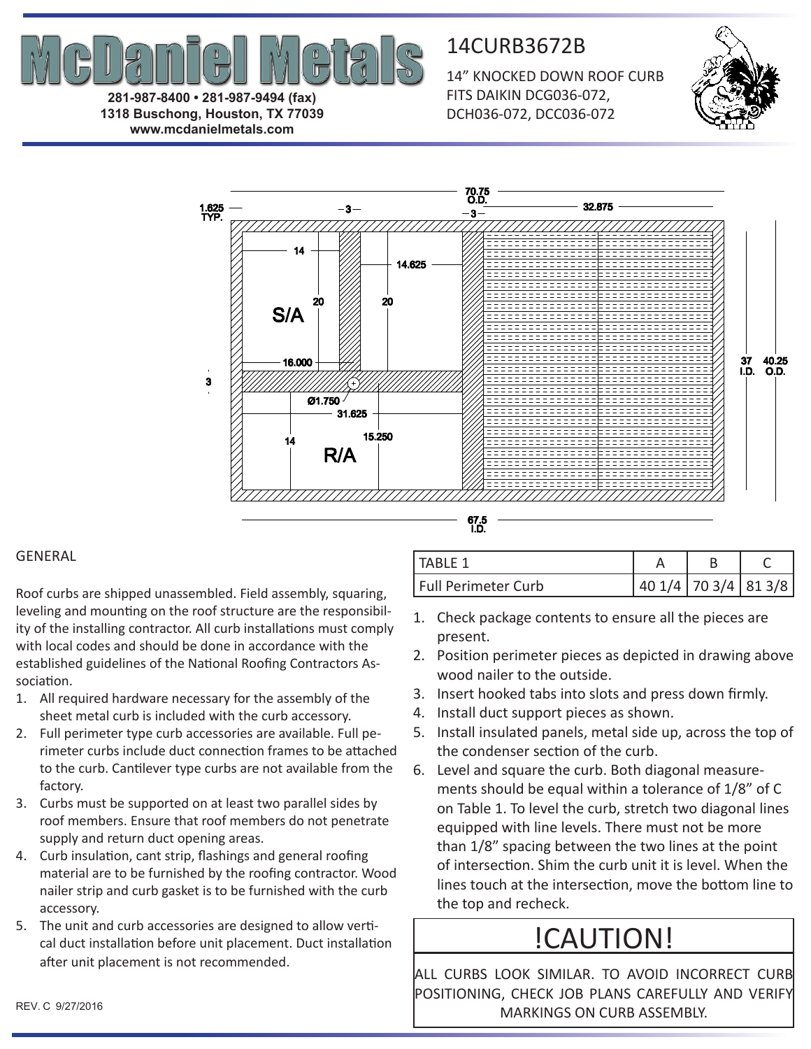

**281-987-8400 • 281-987-9494 (fax) 1318 Buschong, Houston, TX 77039 www.mcdanielmetals.com**

14CURB3672B

14" KNOCKED DOWN ROOF CURB FITS DAIKIN DCG036-072, DCH036-072, DCC036-072





## GENERAL

Roof curbs are shipped unassembled. Field assembly, squaring, leveling and mounting on the roof structure are the responsibility of the installing contractor. All curb installations must comply with local codes and should be done in accordance with the established guidelines of the National Roofing Contractors Association.

- 1. All required hardware necessary for the assembly of the sheet metal curb is included with the curb accessory.
- 2. Full perimeter type curb accessories are available. Full perimeter curbs include duct connection frames to be attached to the curb. Cantilever type curbs are not available from the factory.
- 3. Curbs must be supported on at least two parallel sides by roof members. Ensure that roof members do not penetrate supply and return duct opening areas.
- 4. Curb insulation, cant strip, flashings and general roofing material are to be furnished by the roofing contractor. Wood nailer strip and curb gasket is to be furnished with the curb accessory.
- 5. The unit and curb accessories are designed to allow vertical duct installation before unit placement. Duct installation after unit placement is not recommended.

| TABLF 1             |                   |  |
|---------------------|-------------------|--|
| Full Perimeter Curb | 401/4 703/4 813/8 |  |

- 1. Check package contents to ensure all the pieces are present.
- 2. Position perimeter pieces as depicted in drawing above wood nailer to the outside.
- 3. Insert hooked tabs into slots and press down firmly.
- 4. Install duct support pieces as shown.
- 5. Install insulated panels, metal side up, across the top of the condenser section of the curb.
- 6. Level and square the curb. Both diagonal measurements should be equal within a tolerance of 1/8" of C on Table 1. To level the curb, stretch two diagonal lines equipped with line levels. There must not be more than 1/8" spacing between the two lines at the point of intersection. Shim the curb unit it is level. When the lines touch at the intersection, move the bottom line to the top and recheck.

# !CAUTION!

ALL CURBS LOOK SIMILAR. TO AVOID INCORRECT CURB POSITIONING, CHECK JOB PLANS CAREFULLY AND VERIFY MARKINGS ON CURB ASSEMBLY.